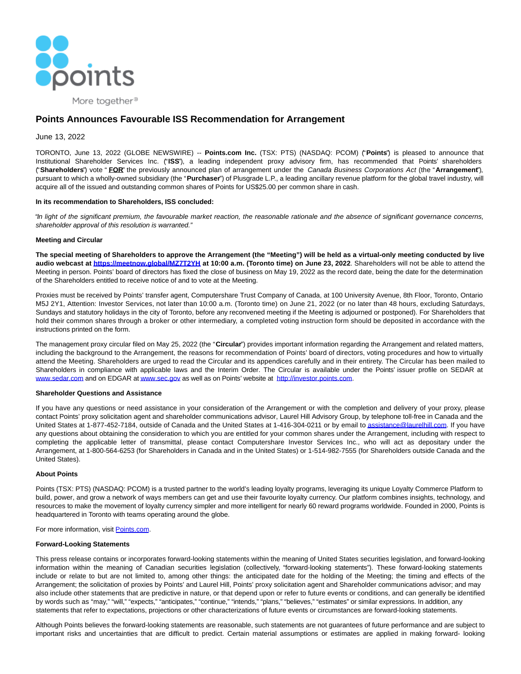

More together<sup>®</sup>

# **Points Announces Favourable ISS Recommendation for Arrangement**

# June 13, 2022

TORONTO, June 13, 2022 (GLOBE NEWSWIRE) -- **Points.com Inc.** (TSX: PTS) (NASDAQ: PCOM) ("**Points**") is pleased to announce that Institutional Shareholder Services Inc. ("**ISS**"), a leading independent proxy advisory firm, has recommended that Points' shareholders ("**Shareholders**") vote " **FOR**" the previously announced plan of arrangement under the Canada Business Corporations Act (the "**Arrangement**"), pursuant to which a wholly-owned subsidiary (the "**Purchaser**") of Plusgrade L.P., a leading ancillary revenue platform for the global travel industry, will acquire all of the issued and outstanding common shares of Points for US\$25.00 per common share in cash.

# **In its recommendation to Shareholders, ISS concluded:**

"In light of the significant premium, the favourable market reaction, the reasonable rationale and the absence of significant governance concerns, shareholder approval of this resolution is warranted."

# **Meeting and Circular**

**The special meeting of Shareholders to approve the Arrangement (the "Meeting") will be held as a virtual-only meeting conducted by live audio webcast at [https://meetnow.global/MZ7T2YH a](https://www.globenewswire.com/Tracker?data=W138dhoQY3gjW_YmMB9U2F3VrwQcmHzsXtb_j1PcYLiYdT9G-6yXt2zWVUO4G_DA6DyMJCHWoAYHjq8GVgmFVSlCTn7cqQL2YEjMclcV0E--ecTk6e3dWNKhX1jaOdhG)t 10:00 a.m. (Toronto time) on June 23, 2022**. Shareholders will not be able to attend the Meeting in person. Points' board of directors has fixed the close of business on May 19, 2022 as the record date, being the date for the determination of the Shareholders entitled to receive notice of and to vote at the Meeting.

Proxies must be received by Points' transfer agent, Computershare Trust Company of Canada, at 100 University Avenue, 8th Floor, Toronto, Ontario M5J 2Y1, Attention: Investor Services, not later than 10:00 a.m. (Toronto time) on June 21, 2022 (or no later than 48 hours, excluding Saturdays, Sundays and statutory holidays in the city of Toronto, before any reconvened meeting if the Meeting is adjourned or postponed). For Shareholders that hold their common shares through a broker or other intermediary, a completed voting instruction form should be deposited in accordance with the instructions printed on the form.

The management proxy circular filed on May 25, 2022 (the "**Circular**") provides important information regarding the Arrangement and related matters, including the background to the Arrangement, the reasons for recommendation of Points' board of directors, voting procedures and how to virtually attend the Meeting. Shareholders are urged to read the Circular and its appendices carefully and in their entirety. The Circular has been mailed to Shareholders in compliance with applicable laws and the Interim Order. The Circular is available under the Points' issuer profile on SEDAR at [www.sedar.com a](https://www.globenewswire.com/Tracker?data=LipTyweEn8laCu4JO5Nb3Zmda5eyAj-R96OvudaL3viOkKNereDPzsuGB970NLcNNEEHLzNAO0oroos-bARkcg==)nd on EDGAR a[t www.sec.gov a](https://www.globenewswire.com/Tracker?data=LipTyweEn8laCu4JO5Nb3UAy-ipqJotykByD2rLp86ds36u1fBilt36EJuNCJoRGRRGV_IMEsW6y9IzOD5EBRg==)s well as on Points' website at [http://investor.points.com.](https://www.globenewswire.com/Tracker?data=EIJt41qGe20YhgEwqLHEDxxxhi_Zm2QzgfPMkTVZx2a1JMvoJjGhP5kmCtlbiERZpVkRmpRkGlK36lVldrZpAa6PirLfDaGtOo5IiJsh2ao=)

#### **Shareholder Questions and Assistance**

If you have any questions or need assistance in your consideration of the Arrangement or with the completion and delivery of your proxy, please contact Points' proxy solicitation agent and shareholder communications advisor, Laurel Hill Advisory Group, by telephone toll-free in Canada and the United States at 1-877-452-7184, outside of Canada and the United States at 1-416-304-0211 or by email t[o assistance@laurelhill.com.](https://www.globenewswire.com/Tracker?data=zg9cE0gRS1DIC9hw4_bDzSln9ZZbBAdNK_YdFJuvPbO1VV5n7L8UkHwnXUl3siAurvdiQP1GQPzySPZGMKoTmdjZh7Jicd7qRWoy_ciXRYw=) If you have any questions about obtaining the consideration to which you are entitled for your common shares under the Arrangement, including with respect to completing the applicable letter of transmittal, please contact Computershare Investor Services Inc., who will act as depositary under the Arrangement, at 1-800-564-6253 (for Shareholders in Canada and in the United States) or 1-514-982-7555 (for Shareholders outside Canada and the United States).

#### **About Points**

Points (TSX: PTS) (NASDAQ: PCOM) is a trusted partner to the world's leading loyalty programs, leveraging its unique Loyalty Commerce Platform to build, power, and grow a network of ways members can get and use their favourite loyalty currency. Our platform combines insights, technology, and resources to make the movement of loyalty currency simpler and more intelligent for nearly 60 reward programs worldwide. Founded in 2000, Points is headquartered in Toronto with teams operating around the globe.

# For more information, visit [Points.com.](https://www.globenewswire.com/Tracker?data=j9BOSP46vE_FbdbdTSosIp7yWROmjkriPGc47Na7LvjPqHeY7B6NJSP14D0MFitvfRkBgGRV4eEAstow7LFH_w==)

#### **Forward-Looking Statements**

This press release contains or incorporates forward-looking statements within the meaning of United States securities legislation, and forward-looking information within the meaning of Canadian securities legislation (collectively, "forward-looking statements"). These forward-looking statements include or relate to but are not limited to, among other things: the anticipated date for the holding of the Meeting; the timing and effects of the Arrangement; the solicitation of proxies by Points' and Laurel Hill, Points' proxy solicitation agent and Shareholder communications advisor; and may also include other statements that are predictive in nature, or that depend upon or refer to future events or conditions, and can generally be identified by words such as "may," "will," "expects," "anticipates," "continue," "intends," "plans," "believes," "estimates" or similar expressions. In addition, any statements that refer to expectations, projections or other characterizations of future events or circumstances are forward-looking statements.

Although Points believes the forward-looking statements are reasonable, such statements are not guarantees of future performance and are subject to important risks and uncertainties that are difficult to predict. Certain material assumptions or estimates are applied in making forward- looking